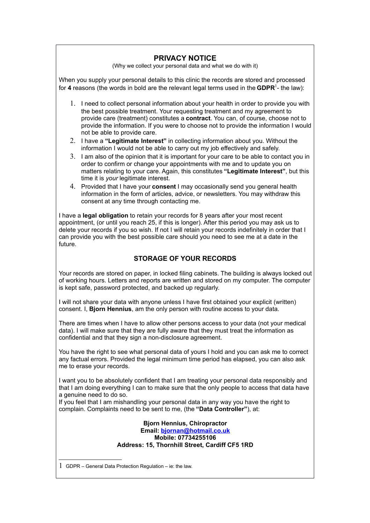## **PRIVACY NOTICE**

(Why we collect your personal data and what we do with it)

When you supply your personal details to this clinic the records are stored and processed for **4** reasons (the words in bold are the relevant legal terms used in the <code>GDPR $^1$  $^1$ -</code> the law):

- 1. I need to collect personal information about your health in order to provide you with the best possible treatment. Your requesting treatment and my agreement to provide care (treatment) constitutes a **contract**. You can, of course, choose not to provide the information. If you were to choose not to provide the information I would not be able to provide care.
- 2. I have a **"Legitimate Interest"** in collecting information about you. Without the information I would not be able to carry out my job effectively and safely.
- 3. I am also of the opinion that it is important for your care to be able to contact you in order to confirm or change your appointments with me and to update you on matters relating to your care. Again, this constitutes **"Legitimate Interest"**, but this time it is *your* legitimate interest.
- 4. Provided that I have your **consent** I may occasionally send you general health information in the form of articles, advice, or newsletters. You may withdraw this consent at any time through contacting me.

I have a **legal obligation** to retain your records for 8 years after your most recent appointment, (or until you reach 25, if this is longer). After this period you may ask us to delete your records if you so wish. If not I will retain your records indefinitely in order that I can provide you with the best possible care should you need to see me at a date in the future.

## **STORAGE OF YOUR RECORDS**

Your records are stored on paper, in locked filing cabinets. The building is always locked out of working hours. Letters and reports are written and stored on my computer. The computer is kept safe, password protected, and backed up regularly.

I will not share your data with anyone unless I have first obtained your explicit (written) consent. I, **Bjorn Hennius**, am the only person with routine access to your data.

There are times when I have to allow other persons access to your data (not your medical data). I will make sure that they are fully aware that they must treat the information as confidential and that they sign a non-disclosure agreement.

You have the right to see what personal data of yours I hold and you can ask me to correct any factual errors. Provided the legal minimum time period has elapsed, you can also ask me to erase your records.

I want you to be absolutely confident that I am treating your personal data responsibly and that I am doing everything I can to make sure that the only people to access that data have a genuine need to do so.

If you feel that I am mishandling your personal data in any way you have the right to complain. Complaints need to be sent to me, (the **"Data Controller"**), at:

> **Bjorn Hennius, Chiropractor Email: [bjornan@hotmail.co.uk](mailto:bjornan@hotmail.co.uk) Mobile: 07734255106 Address: 15, Thornhill Street, Cardiff CF5 1RD**

<span id="page-0-0"></span><sup>1</sup> GDPR – General Data Protection Regulation – ie: the law.